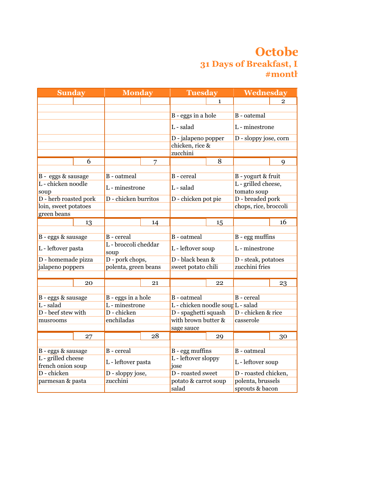## **Octobe 31 Days of Breakfast, I #monthofmeals**

| <b>Sunday</b>                           |    | <b>Monday</b>                |    | <b>Tuesday</b>                    |              | Wednesday                          |                |
|-----------------------------------------|----|------------------------------|----|-----------------------------------|--------------|------------------------------------|----------------|
|                                         |    |                              |    |                                   | $\mathbf{1}$ |                                    | $\overline{2}$ |
|                                         |    |                              |    |                                   |              |                                    |                |
|                                         |    |                              |    | B - eggs in a hole                |              | B - oatemal                        |                |
|                                         |    |                              |    | L - salad                         |              | L - minestrone                     |                |
|                                         |    |                              |    | D - jalapeno popper               |              | D - sloppy jose, corn              |                |
|                                         |    |                              |    | chicken, rice &                   |              |                                    |                |
|                                         |    |                              |    | zucchini                          |              |                                    |                |
|                                         | 6  |                              | 7  |                                   | 8            |                                    | 9              |
|                                         |    |                              |    |                                   |              |                                    |                |
| B - eggs & sausage                      |    | <b>B</b> - oatmeal           |    | B - cereal                        |              | B - yogurt & fruit                 |                |
| L - chicken noodle<br>soup              |    | L - minestrone               |    | L - salad                         |              | L - grilled cheese,<br>tomato soup |                |
| D - herb roasted pork                   |    | D - chicken burritos         |    | D - chicken pot pie               |              | D - breaded pork                   |                |
| loin, sweet potatoes                    |    |                              |    |                                   |              | chops, rice, broccoli              |                |
| green beans                             |    |                              |    |                                   |              |                                    |                |
|                                         | 13 |                              | 14 |                                   | 15           |                                    | 16             |
|                                         |    |                              |    |                                   |              |                                    |                |
| B - eggs & sausage                      |    | B - cereal                   |    | <b>B</b> - oatmeal                |              | $B - \text{egg}$ muffins           |                |
| L - leftover pasta                      |    | L - broccoli cheddar<br>soup |    | L - leftover soup                 |              | L - minestrone                     |                |
| D - homemade pizza                      |    | D - pork chops,              |    | D - black bean &                  |              | D - steak, potatoes                |                |
| jalapeno poppers                        |    | polenta, green beans         |    | sweet potato chili                |              | zucchini fries                     |                |
|                                         |    |                              |    |                                   |              |                                    |                |
|                                         | 20 |                              | 21 |                                   | 22           |                                    | 23             |
|                                         |    |                              |    |                                   |              |                                    |                |
| B - eggs & sausage                      |    | B - eggs in a hole           |    | <b>B</b> - oatmeal                |              | B - cereal                         |                |
| L - salad                               |    | L - minestrone               |    | L - chicken noodle soun L - salad |              |                                    |                |
| D - beef stew with                      |    | D - chicken                  |    | D - spaghetti squash              |              | D - chicken & rice                 |                |
| musrooms                                |    | enchiladas                   |    | with brown butter &               |              | casserole                          |                |
|                                         |    |                              |    | sage sauce                        |              |                                    |                |
|                                         | 27 |                              | 28 |                                   | 29           |                                    | 30             |
|                                         |    |                              |    |                                   |              |                                    |                |
| B - eggs & sausage                      |    | B - cereal                   |    | B - egg muffins                   |              | <b>B</b> - oatmeal                 |                |
| L - grilled cheese<br>french onion soup |    | L - leftover pasta           |    | L - leftover sloppy<br>jose       |              | L - leftover soup                  |                |
| D - chicken                             |    | D - sloppy jose,             |    | D - roasted sweet                 |              | D - roasted chicken,               |                |
| parmesan & pasta                        |    | zucchini                     |    | potato & carrot soup              |              | polenta, brussels                  |                |
|                                         |    |                              |    | salad                             |              | sprouts & bacon                    |                |